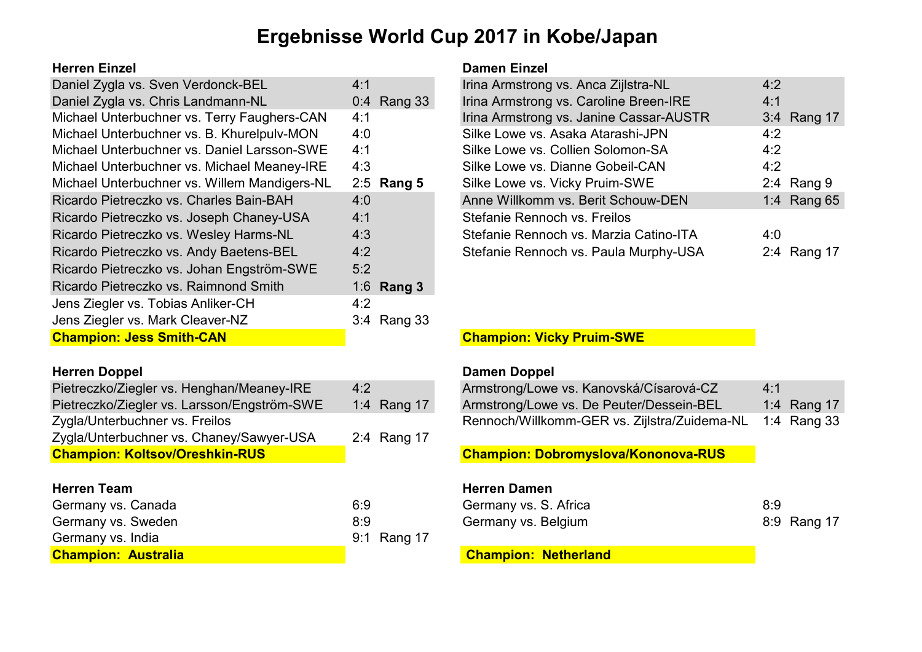## Ergebnisse World Cup 2017 in Kobe/Japan

#### Herren Einzel Damen Einzel

| Daniel Zygla vs. Sven Verdonck-BEL           | 4:1          | Irina Armstrong vs. Anca Zijlstra-NL    | 4:2 |              |
|----------------------------------------------|--------------|-----------------------------------------|-----|--------------|
| Daniel Zygla vs. Chris Landmann-NL           | 0:4 Rang 33  | Irina Armstrong vs. Caroline Breen-IRE  | 4:1 |              |
| Michael Unterbuchner vs. Terry Faughers-CAN  | 4:1          | Irina Armstrong vs. Janine Cassar-AUSTR |     | 3:4 Rang 17  |
| Michael Unterbuchner vs. B. Khurelpulv-MON   | 4:0          | Silke Lowe vs. Asaka Atarashi-JPN       | 4:2 |              |
| Michael Unterbuchner vs. Daniel Larsson-SWE  | 4:1          | Silke Lowe vs. Collien Solomon-SA       | 4:2 |              |
| Michael Unterbuchner vs. Michael Meaney-IRE  | 4:3          | Silke Lowe vs. Dianne Gobeil-CAN        | 4:2 |              |
| Michael Unterbuchner vs. Willem Mandigers-NL | $2:5$ Rang 5 | Silke Lowe vs. Vicky Pruim-SWE          |     | 2:4 Rang $9$ |
| Ricardo Pietreczko vs. Charles Bain-BAH      | 4:0          | Anne Willkomm vs. Berit Schouw-DEN      |     | 1:4 Rang 65  |
| Ricardo Pietreczko vs. Joseph Chaney-USA     | 4:1          | Stefanie Rennoch vs. Freilos            |     |              |
| Ricardo Pietreczko vs. Wesley Harms-NL       | 4:3          | Stefanie Rennoch vs. Marzia Catino-ITA  | 4:0 |              |
| Ricardo Pietreczko vs. Andy Baetens-BEL      | 4:2          | Stefanie Rennoch vs. Paula Murphy-USA   |     | 2:4 Rang 17  |
| Ricardo Pietreczko vs. Johan Engström-SWE    | 5:2          |                                         |     |              |
| Ricardo Pietreczko vs. Raimnond Smith        | 1:6 Rang $3$ |                                         |     |              |
| Jens Ziegler vs. Tobias Anliker-CH           | 4:2          |                                         |     |              |
| Jens Ziegler vs. Mark Cleaver-NZ             | 3:4 Rang 33  |                                         |     |              |
| <b>Champion: Jess Smith-CAN</b>              |              | <b>Champion: Vicky Pruim-SWE</b>        |     |              |

| Pietreczko/Ziegler vs. Henghan/Meaney-IRE   | 4:2         | Armstrong/Lowe vs. Kanovská/Císarová-CZ                  | 4:1         |
|---------------------------------------------|-------------|----------------------------------------------------------|-------------|
| Pietreczko/Ziegler vs. Larsson/Engström-SWE | 1:4 Rang 17 | Armstrong/Lowe vs. De Peuter/Dessein-BEL                 | 1:4 Rang 17 |
| Zygla/Unterbuchner vs. Freilos              |             | Rennoch/Willkomm-GER vs. Zijlstra/Zuidema-NL 1:4 Rang 33 |             |
| Zygla/Unterbuchner vs. Chaney/Sawyer-USA    | 2:4 Rang 17 |                                                          |             |
| <b>Champion: Koltsov/Oreshkin-RUS</b>       |             | <b>Champion: Dobromyslova/Kononova-RUS</b>               |             |

| <b>Champion: Australia</b> |             | <b>Champion: Netherland</b> |             |
|----------------------------|-------------|-----------------------------|-------------|
| Germany vs. India          | 9:1 Rang 17 |                             |             |
| Germany vs. Sweden         | 8:9         | Germany vs. Belgium         | 8:9 Rang 17 |
| Germany vs. Canada         | 6:9         | Germany vs. S. Africa       | 8:9         |

| Irina Armstrong vs. Anca Zijlstra-NL    | 4:2 |              |
|-----------------------------------------|-----|--------------|
| Irina Armstrong vs. Caroline Breen-IRE  | 4:1 |              |
| Irina Armstrong vs. Janine Cassar-AUSTR |     | 3:4 Rang 17  |
| Silke Lowe vs. Asaka Atarashi-JPN       | 4:2 |              |
| Silke Lowe vs. Collien Solomon-SA       | 4:2 |              |
| Silke Lowe vs. Dianne Gobeil-CAN        | 4:2 |              |
| Silke Lowe vs. Vicky Pruim-SWE          |     | 2:4 Rang $9$ |
| Anne Willkomm vs. Berit Schouw-DEN      |     | 1:4 Rang 65  |
| Stefanie Rennoch vs. Freilos            |     |              |
| Stefanie Rennoch vs. Marzia Catino-ITA  | 4.0 |              |
| Stefanie Rennoch vs. Paula Murphy-USA   | 2:4 | Rang 17      |

### **Champion: Vicky Pruim-SWE**

#### Herren Doppel **Damen Doppel Damen Doppel**

| Pietreczko/Ziegler vs. Henghan/Meaney-IRE   | 4:2         | Armstrong/Lowe vs. Kanovská/Císarová-CZ                  | 4:1 |             |
|---------------------------------------------|-------------|----------------------------------------------------------|-----|-------------|
| Pietreczko/Ziegler vs. Larsson/Engström-SWE | 1:4 Rang 17 | Armstrong/Lowe vs. De Peuter/Dessein-BEL                 |     | 1:4 Rang 17 |
| Zygla/Unterbuchner vs. Freilos              |             | Rennoch/Willkomm-GER vs. Zijlstra/Zuidema-NL 1:4 Rang 33 |     |             |

### Champion: Dobromyslova/Kononova-RUS

#### Herren Team Herren Damen

| Germany vs. S. Africa | 8:9         |
|-----------------------|-------------|
| Germany vs. Belgium   | 8:9 Rang 17 |

### **Champion: Netherland**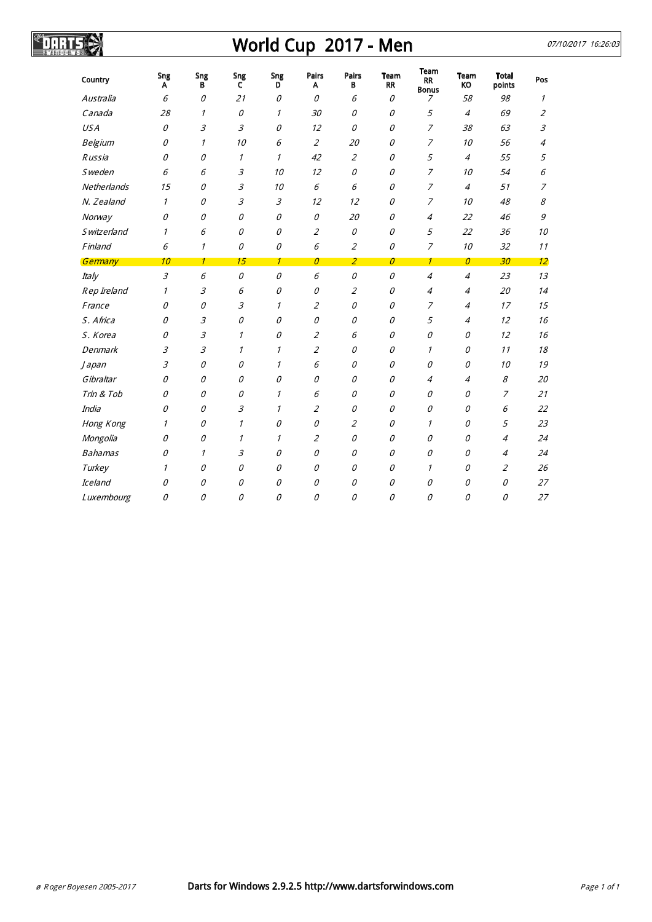# World Cup 2017 - Men 07/10/2017 16:26:03

SDARTSIS

| Country            | Sng<br>A       | Sng<br>в     | Sng<br>c      | Sng<br>D      | Pairs<br>A     | Pairs<br>В                  | Team<br><b>RR</b> | <b>Team</b><br><b>RR</b><br><b>Bonus</b> | Team<br>KO     | <b>Total</b><br>points | Pos                         |
|--------------------|----------------|--------------|---------------|---------------|----------------|-----------------------------|-------------------|------------------------------------------|----------------|------------------------|-----------------------------|
| Australia          | 6              | 0            | 21            | 0             | 0              | 6                           | 0                 | 7                                        | 58             | 98                     | 1                           |
| Canada             | 28             | 1            | 0             | 1             | 30             | 0                           | 0                 | 5                                        | $\overline{4}$ | 69                     | $\overline{2}$              |
| <b>USA</b>         | 0              | 3            | $\mathcal{Z}$ | 0             | 12             | 0                           | 0                 | 7                                        | 38             | 63                     | $\mathcal{Z}_{\mathcal{Z}}$ |
| Belgium            | 0              | $\mathcal I$ | 10            | 6             | $\overline{2}$ | 20                          | 0                 | $\overline{7}$                           | 10             | 56                     | 4                           |
| <b>Russia</b>      | 0              | 0            | 1             | $\mathcal I$  | 42             | $\overline{2}$              | 0                 | 5                                        | $\overline{4}$ | 55                     | 5                           |
| <b>Sweden</b>      | 6              | 6            | 3             | 10            | 12             | 0                           | 0                 | 7                                        | 10             | 54                     | 6                           |
| Netherlands        | 15             | 0            | 3             | 10            | 6              | 6                           | 0                 | $\overline{7}$                           | $\overline{4}$ | 51                     | $\overline{z}$              |
| N. Zealand         | $\mathcal I$   | 0            | 3             | $\mathcal{Z}$ | 12             | 12                          | 0                 | $\overline{z}$                           | 10             | 48                     | 8                           |
| Norway             | $\mathcal{O}$  | 0            | 0             | 0             | 0              | 20                          | 0                 | $\overline{4}$                           | 22             | 46                     | 9                           |
| <b>Switzerland</b> | $\mathcal I$   | 6            | 0             | 0             | $\overline{2}$ | 0                           | 0                 | 5                                        | 22             | 36                     | 10                          |
| Finland            | 6              | $\mathcal I$ | 0             | 0             | 6              | $\overline{2}$              | 0                 | 7                                        | 10             | 32                     | 11                          |
| Germany            | 10             | $\mathcal I$ | 15            | $\mathcal I$  | $\mathcal O$   | $\overline{2}$              | 0                 | $\mathcal I$                             | $\mathcal O$   | 30                     | 12                          |
| Italy              | $\mathfrak{Z}$ | 6            | 0             | 0             | 6              | 0                           | 0                 | $\overline{4}$                           | $\overline{4}$ | 23                     | 13                          |
| Rep Ireland        | 1              | 3            | 6             | 0             | 0              | $\mathcal{Z}_{\mathcal{C}}$ | 0                 | $\overline{4}$                           | $\overline{4}$ | 20                     | 14                          |
| France             | 0              | 0            | 3             | $\mathcal I$  | $\overline{2}$ | 0                           | 0                 | 7                                        | 4              | 17                     | 15                          |
| S. Africa          | 0              | 3            | 0             | 0             | 0              | 0                           | 0                 | 5                                        | 4              | 12                     | 16                          |
| S. Korea           | 0              | 3            | 1             | 0             | $\overline{2}$ | 6                           | 0                 | 0                                        | 0              | 12                     | 16                          |
| Denmark            | 3              | 3            | 1             | 1             | $\overline{2}$ | 0                           | 0                 | 1                                        | 0              | 11                     | 18                          |
| <i>Japan</i>       | 3              | 0            | 0             | $\it 1$       | 6              | 0                           | 0                 | 0                                        | 0              | 10                     | 19                          |
| Gibraltar          | 0              | 0            | 0             | 0             | 0              | 0                           | 0                 | 4                                        | 4              | 8                      | 20                          |
| Trin & Tob         | $\mathcal{O}$  | 0            | 0             | $\mathcal I$  | 6              | 0                           | 0                 | 0                                        | 0              | 7                      | 21                          |
| India              | 0              | 0            | 3             | 1             | $\overline{2}$ | 0                           | 0                 | 0                                        | 0              | 6                      | 22                          |
| Hong Kong          | 1              | 0            | $\mathcal I$  | 0             | 0              | $\overline{2}$              | 0                 | $\mathcal I$                             | 0              | 5                      | 23                          |
| Mongolia           | 0              | 0            | 1             | $\mathcal I$  | $\overline{2}$ | 0                           | 0                 | 0                                        | 0              | 4                      | 24                          |
| <b>Bahamas</b>     | 0              | 1            | 3             | 0             | 0              | 0                           | 0                 | 0                                        | 0              | $\overline{4}$         | 24                          |
| Turkey             | 1              | 0            | 0             | 0             | 0              | 0                           | 0                 | 1                                        | 0              | $\overline{2}$         | 26                          |
| Iceland            | 0              | 0            | 0             | 0             | 0              | 0                           | 0                 | 0                                        | 0              | 0                      | 27                          |
| Luxembourg         | 0              | 0            | 0             | 0             | 0              | 0                           | 0                 | 0                                        | 0              | 0                      | 27                          |